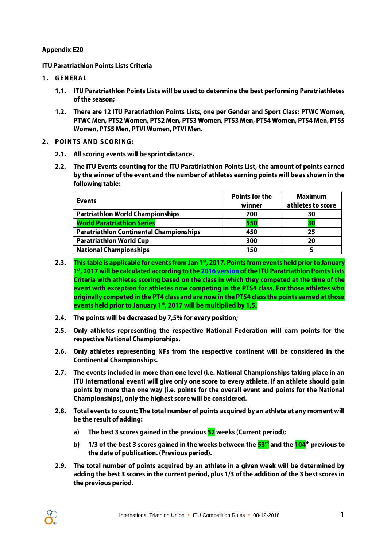## **Appendix E20**

**ITU Paratriathlon Points Lists Criteria**

- **1. GENERA L**
	- **1.1. ITU Paratriathlon Points Lists will be used to determine the best performing Paratriathletes of the season;**
	- **1.2. There are 12 ITU Paratriathlon Points Lists, one per Gender and Sport Class: PTWC Women, PTWC Men, PTS2 Women, PTS2 Men, PTS3 Women, PTS3 Men, PTS4 Women, PTS4 Men, PTS5 Women, PTS5 Men, PTVI Women, PTVI Men.**
- **2. POINTS AND SCORING:** 
	- **2.1. All scoring events will be sprint distance.**
	- **2.2. The ITU Events counting for the ITU Paratiriathlon Points List, the amount of points earned by the winner of the event and the number of athletes earning points will be as shown in the following table:**

| <b>Events</b>                                  | <b>Points for the</b> | <b>Maximum</b>    |
|------------------------------------------------|-----------------------|-------------------|
|                                                | winner                | athletes to score |
| <b>Partriathlon World Championships</b>        | 700                   | 30                |
| <b>World Paratriathlon Series</b>              | 550                   | 30                |
| <b>Paratriathlon Continental Championships</b> | 450                   | 25                |
| <b>Paratriathlon World Cup</b>                 | 300                   | 20                |
| <b>National Championships</b>                  | 150                   |                   |

- **2.3. This table is applicable for events from Jan 1st , 2017. Points from events held prior to January 1 st , 2017 will be calculated according to th[e 2016 version](http://www.triathlon.org/uploads/docs/ITU_paratriathlon_points_list_criteria_06122015.pdf) of the ITU Paratriathlon Points Lists Criteria with athletes scoring based on the class in which they competed at the time of the event with exception for athletes now competing in the PTS4 class. For those athletes who originally competed in the PT4 class and are now in the PTS4 class the points earned at those events held prior to January 1st , 2017 will be multiplied by 1,5.**
- **2.4. The points will be decreased by 7,5% for every position;**
- **2.5. Only athletes representing the respective National Federation will earn points for the respective National Championships.**
- **2.6. Only athletes representing NFs from the respective continent will be considered in the Continental Championships.**
- **2.7. The events included in more than one level (i.e. National Championships taking place in an ITU International event) will give only one score to every athlete. If an athlete should gain points by more than one way (i.e. points for the overall event and points for the National Championships), only the highest score will be considered.**
- **2.8. Total events to count: The total number of points acquired by an athlete at any moment will be the result of adding:**
	- **a) The best 3 scores gained in the previous 52 weeks (Current period);**
	- **b) 1/3 of the best 3 scores gained in the weeks between the 53rd and the 104th previous to the date of publication. (Previous period).**
- **2.9. The total number of points acquired by an athlete in a given week will be determined by adding the best 3 scores in the current period, plus 1/3 of the addition of the 3 best scores in the previous period.**